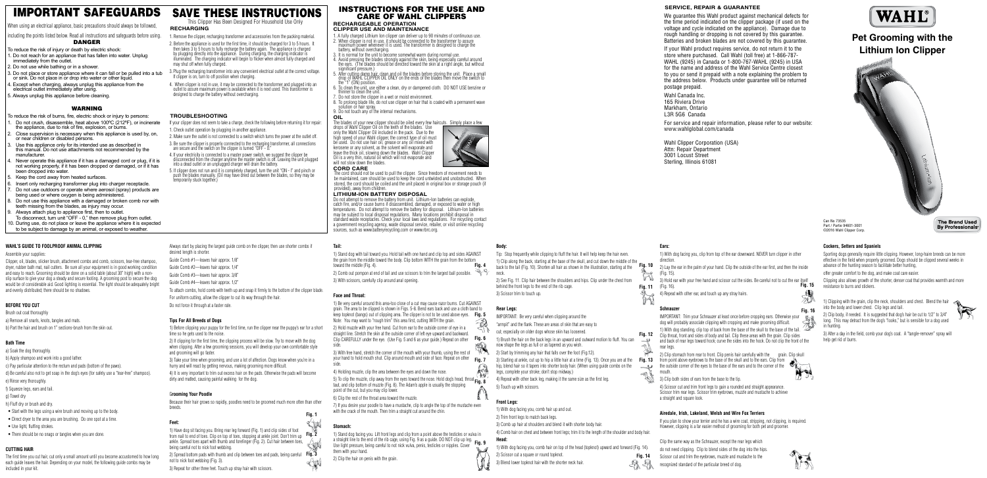**Fig. 1**

**Fig. 12**

**Fig. 11**

**Fig. 13**

 $\mathcal{A}$ 

**Fig. 16**

ズジ

- 1. A fully charged Lithium Ion clipper can deliver up to 90 minutes of continuous use.
- 2. When clipper is not in use, it should be connected to the transformer to assure maximum power whenever it is used. The transformer is designed to charge the battery, without overcharging.
- 3. It is normal for the unit to become somewhat warm during normal use.
- 4. Avoid pressing the blades strongly against the skin, being especially careful around the ears. (The blades should be directed toward the skin at a right angle, but without significant pressure.)
- 5. After cutting damp hair, clean and oil the blades before storing the unit. Place a small drop of WAHL CLIPPER OIL ONLY on the ends of the blades then move the switch to the "1" (ON) position.
- 6. To clean the unit, use either a clean, dry or dampened cloth. DO NOT USE benzine or thinner to clean the unit.
- 7. Do not store the clipper in a wet or moist environment.
- 8. To prolong blade life, do not use clipper on hair that is coated with a permanent wave solution or hair spray

**Fig. 14**

## INSTRUCTIONS FOR THE USE AND CARE OF WAHL CLIPPERS

**RECHARGEABLE OPERATION CLIPPER USE AND MAINTENANCE**

9. Do not touch any of the internal mechanisms.

**OIL** The blades of your new clipper should be oiled every few haircuts. Simply place a few

drops of Wahl Clipper Oil on the teeth of the blades. Use only the Wahl Clipper Oil included in the pack. Due to the high speed of your Wahl clipper, the correct type of oil must be used. Do not use hair oil, grease or any oil mixed with kerosene or any solvent, as the solvent will evaporate and leave the thick oil, slowing down the blades. Wahl Clipper Oil is a very thin, natural oil which will not evaporate and will not slow down the blades.



#### **CORD CARE**

The cord should not be used to pull the clipper. Since freedom of movement needs to be maintained, care should be used to keep the cord untwisted and unobstructed. When stored, the cord should be coiled and the unit placed in original box or storage pouch (if provided), away from children.

#### **LITHIUM-ION BATTERY DISPOSAL**

Do not attempt to remove the battery from unit. Lithium-Ion batteries can explode, catch fire, and/or cause burns if disassembled, damaged, or exposed to water or high temperatures. Do not attempt to remove the battery for disposal. Lithium-Ion batteries may be subject to local disposal regulations. Many locations prohibit disposal in standard waste receptacles. Check your local laws and regulations. For recycling contact a government recycling agency, waste disposal service, retailer, or visit online recycling sources, such as www.batteryrecycling.com or www.rbrc.org.

SAVE THESE INSTRUCTIONS This Clipper Has Been Designed For Household Use Only

#### **RECHARGING**

#### 1. Remove the clipper, recharging transformer and accessories from the packing material.

- 2. Before the appliance is used for the first time, it should be charged for 3 to 5 hours. It then takes 3 to 5 hours to fully recharge the battery again. The appliance is charged by plugging directly into the appliance. During charging, the charging indicator is illuminated. The charging indicator will begin to flicker when almost fully charged and may shut off when fully charged.
- 3. Plug the recharging transformer into any convenient electrical outlet at the correct voltage. If clipper is on, turn to off position when charging.
- 4. When clipper is not in use, it may be connected to the transformer and plugged into an outlet to assure maximum power is available when it is next used. This transformer is designed to charge the battery without overcharging.

#### **TROUBLESHOOTING**

#### **SERVICE, REPAIR & GUARANTEE**

We guarantee this Wahl product against mechanical defects for the time period indicated on the clipper package (if used on the voltage and cycle indicated on the appliance). Damage due to rough handling or dropping is not covered by this guarantee. Batteries and broken blades are not covered by this guarantee.

If your Wahl product requires service, do not return it to the store where purchased. Call Wahl (toll free) at 1-866-787- WAHL (9245) in Canada or 1-800-767-WAHL (9245) in USA for the name and address of the Wahl Service Centre closest to you or send it prepaid with a note explaining the problem to the address below. Products under guarantee will be returned postage prepaid.

**Fig. 2** from nail to end of toes. Clip on top of toes, stopping at ankle joint. Don't trim up

Wahl Canada Inc. 165 Riviera Drive Markham, Ontario L3R 5G6 Canada

**Fig. 3** 2) Spread bottom pads with thumb and clip between toes and pads, being careful

For service and repair information, please refer to our website: www.wahlglobal.com/canada

**Fig. 4** 1) Stand dog with tail toward you. Hold tail with one hand and clip top and sides AGAINST the grain from the middle toward the body. Clip bottom WITH the grain from the bottom toward the middle (Fig. 4).

Wahl Clipper Corporation (USA) Attn: Repair Department 3001 Locust Street Sterling, Illinois 61081

# WAHL

# IMPORTANT SAFEGUARDS

When using an electrical appliance, basic precautions should always be followed,

including the points listed below. Read all instructions and safeguards before using.

### DANGER

**Fig. 5** keep topknot (bangs) out of clipping area. The clipper is not to be used above eyes. 1) Be very careful around this area-too close of a cut may cause razor burns. Cut AGAINST grain. The area to be clipped is shown in Figs. 5-8. Bend ears back and use a cloth band to Note: You may want to "rough trim" this area first, cutting WITH the grain.

Clip CAREFULLY under the eye. (Use Fig. 5 and 6 as your guide.) Repeat on other **Fig. 6** 2) Hold muzzle with your free hand. Cut from ear to the outside corner of eye in a straight line. Stretch the skin at the outside corner of left eye upward and backward. side.

**Fig. 7** your hand to hold mouth shut. Clip around mouth and side of face. Repeat on other 3) With free hand, stretch the corner of the mouth with your thumb, using the rest of

- To reduce the risk of injury or death by electric shock:
- 1. Do not reach for an appliance that has fallen into water. Unplug immediately from the outlet.
- 2. Do not use while bathing or in a shower.
- 3. Do not place or store appliance where it can fall or be pulled into a tub or sink. Do not place in or drop into water or other liquid.
- 4. Except when charging, always unplug this appliance from the electrical outlet immediately after using.
- 5. Always unplug this appliance before cleaning.

5) To clip the muzzle, clip away from the eyes toward the nose. Hold dog's head, throat **Fig. 8**<br>teut, and elip hettern of muzzle (Fig. 9). The Adem's apple is usually the stapping taut, and clip bottom of muzzle (Fig. 8). The Adam's apple is usually the stopping point of the cut, but you may clip lower.

#### WARNING

a straight line to the end of the rib cage, using Fig. 9 as a guide. DO NOT clip up leg.<br>Use light prossure, being careful to not nick vulva, popis, tosticles er nipples. Cover. **Fig. 9** 1) Stand dog facing you. Lift front legs and clip from a point above the testicles or vulva in Use light pressure, being careful to not nick vulva, penis, testicles or nipples. Cover them with your hand.

1) Clip along the back, starting at the base of the skull, and cut down the middle of the<br>back to the tail (Fig. 10). Shorten all hair as shown in the illustration, starting at the back to the tail (Fig. 10). Shorten all hair as shown in the illustration, starting at the

- To reduce the risk of burns, fire, electric shock or injury to persons:
- Do not crush, disassemble, heat above 100°C (212°F), or incinerate the appliance, due to risk of fire, explosion, or burns.
- 2. Close supervision is necessary when this appliance is used by, on, or near children or disabled persons.
- Use this appliance only for its intended use as described in this manual. Do not use attachments not recommended by the manufacturer.
- Never operate this appliance if it has a damaged cord or plug, if it is not working properly, if it has been dropped or damaged, or if it has been dropped into water.
- Keep the cord away from heated surfaces.
- Insert only recharging transformer plug into charger receptacle.
- 7. Do not use outdoors or operate where aerosol (spray) products are being used or where oxygen is being administered.
- 8. Do not use this appliance with a damaged or broken comb nor with teeth missing from the blades, as injury may occur.
- Always attach plug to appliance first, then to outlet.
- To disconnect, turn unit "OFF 0," then remove plug from outlet. 10. During use, do not place or leave the appliance where it is expected
- to be subject to damage by an animal, or exposed to weather.

3) Hold ear with your free hand and scissor cut the sides. Be careful not to cut the ear itself<br>Fi**g. 15** (Fig. 16).

### **WAHL'S GUIDE TO FOOLPROOF ANIMAL CLIPPING**

IMPORTANT: Trim your Schnauzer at least once before cropping ears. Otherwise your dog will probably associate clipping with cropping and make grooming difficult. 1) With dog standing, clip top of back from the base of the skull to the base of the tail.

#### Assemble your supplies:

2) Clip stomach from rear to front. Clip penis hair carefully with the grain. Clip skull  $f$ ) Clip stomach from rear to from the base of the skull and to the ears. Clip from the form and to the carrer of the  $\mathbb{R}$ the outside corner of the eyes to the base of the ears and to the corner of the mouth.

Clipper, oil, blades, slicker brush, attachment combs and comb, scissors, tear-free shampoo, dryer, rubber bath mat, nail cutters. Be sure all your equipment is in good working condition and easy to reach. Grooming should be done on a solid table (about 30" high) with a nonslip surface to give your dog a steady and secure footing. A grooming post to secure the dog would be of considerable aid. Good lighting is essential. The light should be adequately bright and evenly distributed; there should be no shadows.

### **BEFORE YOU CUT**

- Brush out coat thoroughly a) Remove all snarls, knots, tangles and mats.
- b) Part the hair and brush on 1" sections-brush from the skin out.

### **Bath Time**

- a) Soak the dog thoroughly.
- b) Apply shampoo and work into a good lather.
- c) Pay particular attention to the rectum and pads (bottom of the paws).
- d) Be careful also not to get soap in the dog's eyes (for safety use a "tear-free" shampoo). e) Rinse very thoroughly.
- f) Squeeze legs, ears and tail.
- g) Towel dry
- h) Fluff dry or brush and dry.
- Start with the legs using a wire brush and moving up to the body.
- Direct dryer to the area you are brushing. Do one spot at a time.
- Use light, fluffing strokes.
- There should be no snags or tangles when you are done.

#### **CUTTING HAIR**

The first time you cut hair, cut only a small amount until you become accustomed to how long each guide leaves the hair. Depending on your model, the following guide combs may be included in your kit.

Always start by placing the largest guide comb on the clipper, then use shorter combs if

desired length is shorter.

Guide Comb #1—leaves hair approx. 1/8" Guide Comb #2—leaves hair approx. 1/4" Guide Comb #3—leaves hair approx. 3/8" Guide Comb #4—leaves hair approx. 1/2"

To attach combs, hold comb with teeth up and snap it firmly to the bottom of the clipper blade.

For uniform cutting, allow the clipper to cut its way through the hair.

Do not force it through at a faster rate.

**Tips For All Breeds of Dogs**

1) Before clipping your puppy for the first time, run the clipper near the puppy's ear for a short

time so he gets used to the noise.

2) If clipping for the first time, the clipping process will be slow. Try to move with the dog when clipping. After a few grooming sessions, you will develop your own comfortable style

and grooming will go faster.

3) Take your time when grooming, and use a lot of affection. Dogs know when you're in a

hurry and will react by getting nervous, making grooming more difficult.

4) It is very important to trim out excess hair on the pads. Otherwise the pads will become

dirty and matted, causing painful walking for the dog.

G**rooming Your Poodle**

Because their hair grows so rapidly, poodles need to be groomed much more often than other

breeds.

**Feet:**

- If your clipper does not seem to take a charge, check the following before returning it for repair: 1. Check outlet operation by plugging in another appliance.
- 2. Make sure the outlet is not connected to a switch which turns the power at the outlet off.
- 3. Be sure the clipper is properly connected to the recharging transformer, all connections are secure and the switch on the clipper is turned "OFF 0."
- 4. If your electricity is connected to a master power switch, we suggest the clipper be disconnected from the charger anytime the master switch is off. Leaving the unit plugged into a dead outlet or an unplugged charger will drain the battery.
- 5. If clipper does not run and it is completely charged, turn the unit "ON I" and pinch or push the blades manually. (Oil may have dried out between the blades, so they may be emporarily stuck together.)

1) Have dog sit facing you. Bring rear leg forward (Fig. 1) and clip sides of foot ankle. Spread toes apart with thumb and forefinger (Fig. 2). Cut hair between toes,

being careful not to nick foot webbing.

not to nick foot webbing (Fig. 3).

3) Repeat for other three feet. Touch up stray hair with scissors.

#### **Tail:**

2) Comb out pompon at end of tail and use scissors to trim the largest ball possible.

3) With scissors, carefully clip around anal opening.

#### **Face and Throat:**

side.

4) Holding muzzle, clip the area between the eyes and down the nose.

6) Clip the rest of the throat area toward the muzzle.

7) If you desire your poodle to have a mustache, clip to angle the top of the mustache even with the crack of the mouth. Then trim a straight cut around the chin.

### **Stomach:**

2) Clip the hair on penis with the grain.

**Body:**

Tip: Stop frequently while clipping to fluff the hair. It will help keep the hair even.

neck.

2) See Fig. 11. Clip hair between the shoulders and hips. Clip under the chest from behind the front legs to the end of the rib cage.

3) Scissor trim to touch up.

**Rear Legs:**

IMPORTANT: Be very careful when clipping around the

"armpit" and the flank. These are areas of skin that are easy to

cut; especially on older dogs whose skin has loosened.

1) Brush the hair on the back legs in an upward and outward motion to fluff. You can now shape the legs as full or as tapered as you wish.

2) Start by trimming any hair that falls over the foot (Fig.12).

3) Starting at ankle, cut up to hip a little hair at a time (Fig. 13). Once you are at the hip, blend hair so it tapers into shorter body hair. (When using guide combs on the legs, complete your stroke; don't stop midway.)

4) Repeat with other back leg, making it the same size as the first leg.

5) Touch up with scissors.

**Front Legs:**

1) With dog facing you, comb hair up and out.

2) Trim front legs to match back legs.

3) Comb up hair at shoulders and blend it with shorter body hair.

4) Comb hair on chest and between front legs; trim it to the length of the shoulder and body hai

**Head:**

1) With dog facing you, comb hair on top of the head (topknot) upward and forward (Fig. 14).

2) Scissor cut a square or round topknot.

3) Blend lower topknot hair with the shorter neck hair.

## **Ears:**

1) With dog facing you, clip from top of the ear downward. NEVER turn clipper in other direction.

2) Lay the ear in the palm of your hand. Clip the outside of the ear first, and then the inside (Fig. 15).

4) Repeat with other ear, and touch up any stray hairs.

#### **Schnauze**

Clip throat, front and sides of body and tail. Clip these areas with the grain. Clip sides and back of rear legs toward hock; curve the sides into the hock. Do not clip the front of the rear legs.

3) Clip both sides of ears from the base to the tip.

4) Scissor cut and trim front legs to gain a rounded and straight appearance. Scissor trim rear legs. Scissor trim eyebrows, muzzle and mustache to achieve a straight and square look.

#### **Airedale, Irish, Lakeland, Welsh and Wire Fox Terriers**

If you plan to show your terrier and he has a wire coat, stripping, not clipping, is required. However, clipping is a far easier method of grooming for both pet and groomer.

Clip the same way as the Schnauzer, except the rear legs which do not need clipping. Clip to blend sides of the dog into the hips. Scissor cut and trim the eyebrows, muzzle and mustache to the recognized standard of the particular breed of dog.



Sporting dogs generally require little clipping. However, long-haire breeds can be more effective in the field when properly groomed. Dogs should be clipped several weeks in advance of the hunting season to facilitate better hunting,

offer greater comfort to the dog, and make coat care easier.

Clipping also allows growth of the shorter, denser coat that provides warmth and more resistance to burrs and stickers.

1) Clipping with the grain, clip the neck, shoulders and chest. Blend the hair into the body and lower chest. Clip legs and tail.

2) Clip body, if needed. It is suggested that dog's hair be cut to 1/2" to 3/4" long. This may detract from the dog's "looks," but is sensible for a dog used in hunting.

3) After a day in the field, comb your dog's coat. A "tangle-remover" spray will help get rid of burrs.









# **Pet Grooming with the Lithium Ion Clipper**



Can No 73535 Part / Partie 94601-3001 ©2016 Wahl Clipper Corp.

#### **The Brand Used** By Professionals®